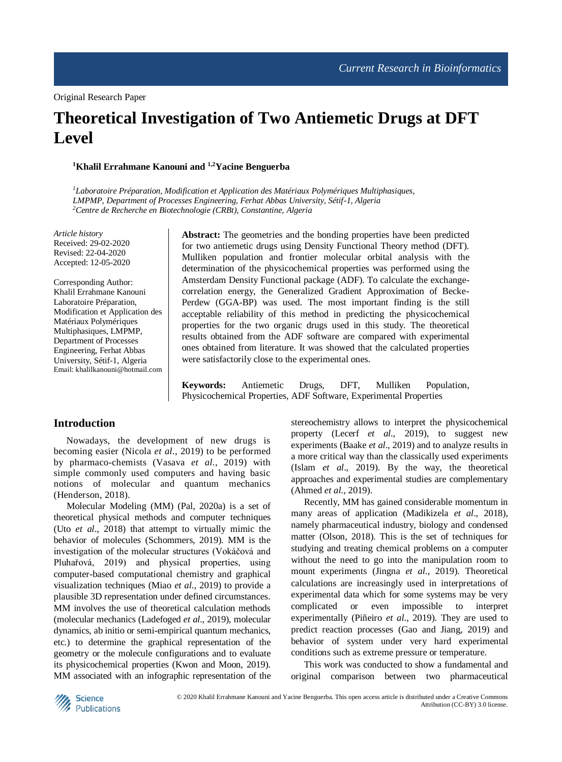# **Theoretical Investigation of Two Antiemetic Drugs at DFT Level**

**<sup>1</sup>Khalil Errahmane Kanouni and 1,2Yacine Benguerba**

*<sup>1</sup>Laboratoire Préparation, Modification et Application des Matériaux Polymériques Multiphasiques, LMPMP, Department of Processes Engineering, Ferhat Abbas University, Sétif-1, Algeria <sup>2</sup>Centre de Recherche en Biotechnologie (CRBt), Constantine, Algeria*

*Article history* Received: 29-02-2020 Revised: 22-04-2020 Accepted: 12-05-2020

Corresponding Author: Khalil Errahmane Kanouni Laboratoire Préparation, Modification et Application des Matériaux Polymériques Multiphasiques, LMPMP, Department of Processes Engineering, Ferhat Abbas University, Sétif-1, Algeria Email: khalilkanouni@hotmail.com **Abstract:** The geometries and the bonding properties have been predicted for two antiemetic drugs using Density Functional Theory method (DFT). Mulliken population and frontier molecular orbital analysis with the determination of the physicochemical properties was performed using the Amsterdam Density Functional package (ADF). To calculate the exchangecorrelation energy, the Generalized Gradient Approximation of Becke-Perdew (GGA-BP) was used. The most important finding is the still acceptable reliability of this method in predicting the physicochemical properties for the two organic drugs used in this study. The theoretical results obtained from the ADF software are compared with experimental ones obtained from literature. It was showed that the calculated properties were satisfactorily close to the experimental ones.

**Keywords:** Antiemetic Drugs, DFT, Mulliken Population, Physicochemical Properties, ADF Software, Experimental Properties

## **Introduction**

Nowadays, the development of new drugs is becoming easier (Nicola *et al*., 2019) to be performed by pharmaco-chemists (Vasava *et al*., 2019) with simple commonly used computers and having basic notions of molecular and quantum mechanics (Henderson, 2018).

Molecular Modeling (MM) (Pal, 2020a) is a set of theoretical physical methods and computer techniques (Uto *et al*., 2018) that attempt to virtually mimic the behavior of molecules (Schommers, 2019). MM is the investigation of the molecular structures (Vokáčová and Pluhařová, 2019) and physical properties, using computer-based computational chemistry and graphical visualization techniques (Miao *et al*., 2019) to provide a plausible 3D representation under defined circumstances. MM involves the use of theoretical calculation methods (molecular mechanics (Ladefoged *et al*., 2019), molecular dynamics, ab initio or semi-empirical quantum mechanics, etc.) to determine the graphical representation of the geometry or the molecule configurations and to evaluate its physicochemical properties (Kwon and Moon, 2019). MM associated with an infographic representation of the stereochemistry allows to interpret the physicochemical property (Lecerf *et al*., 2019), to suggest new experiments (Baake *et al*., 2019) and to analyze results in a more critical way than the classically used experiments (Islam *et al*., 2019). By the way, the theoretical approaches and experimental studies are complementary (Ahmed *et al*., 2019).

Recently, MM has gained considerable momentum in many areas of application (Madikizela *et al*., 2018), namely pharmaceutical industry, biology and condensed matter (Olson, 2018). This is the set of techniques for studying and treating chemical problems on a computer without the need to go into the manipulation room to mount experiments (Jingna *et al*., 2019). Theoretical calculations are increasingly used in interpretations of experimental data which for some systems may be very complicated or even impossible to interpret experimentally (Piñeiro *et al*., 2019). They are used to predict reaction processes (Gao and Jiang, 2019) and behavior of system under very hard experimental conditions such as extreme pressure or temperature.

This work was conducted to show a fundamental and original comparison between two pharmaceutical

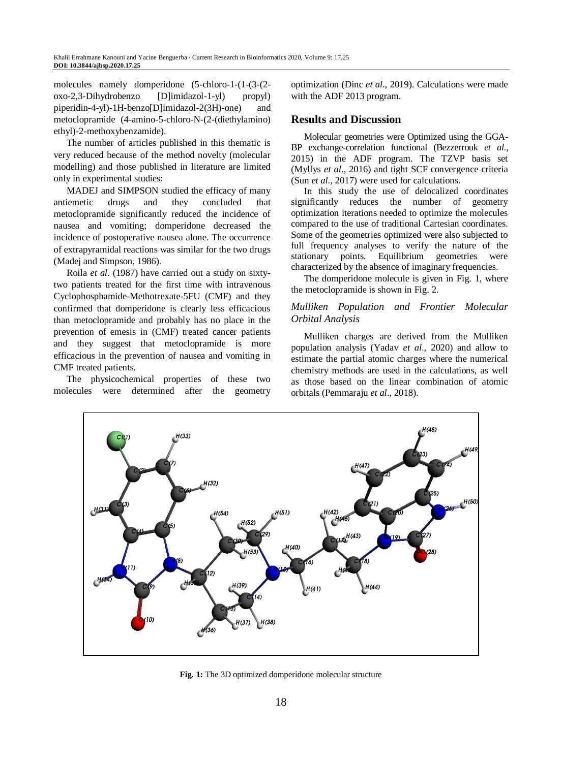molecules namely domperidone (5-chloro-1-(1-(3-(2 oxo-2,3-Dihydrobenzo [D]imidazol-1-yl) propyl) piperidin-4-yl)-1H-benzo[D]imidazol-2(3H)-one) and metoclopramide (4-amino-5-chloro-N-(2-(diethylamino) ethyl)-2-methoxybenzamide).

The number of articles published in this thematic is very reduced because of the method novelty (molecular modelling) and those published in literature are limited only in experimental studies:

MADEJ and SIMPSON studied the efficacy of many antiemetic drugs and they concluded that metoclopramide significantly reduced the incidence of nausea and vomiting; domperidone decreased the incidence of postoperative nausea alone. The occurrence of extrapyramidal reactions was similar for the two drugs (Madej and Simpson, 1986).

Roila *et al*. (1987) have carried out a study on sixtytwo patients treated for the first time with intravenous Cyclophosphamide-Methotrexate-5FU (CMF) and they confirmed that domperidone is clearly less efficacious than metoclopramide and probably has no place in the prevention of emesis in (CMF) treated cancer patients and they suggest that metoclopramide is more efficacious in the prevention of nausea and vomiting in CMF treated patients.

The physicochemical properties of these two molecules were determined after the geometry optimization (Dinc *et al*., 2019). Calculations were made with the ADF 2013 program.

# **Results and Discussion**

Molecular geometries were Optimized using the GGA-BP exchange-correlation functional (Bezzerrouk *et al*., 2015) in the ADF program. The TZVP basis set (Myllys *et al*., 2016) and tight SCF convergence criteria (Sun *et al*., 2017) were used for calculations.

In this study the use of delocalized coordinates significantly reduces the number of geometry optimization iterations needed to optimize the molecules compared to the use of traditional Cartesian coordinates. Some of the geometries optimized were also subjected to full frequency analyses to verify the nature of the stationary points. Equilibrium geometries were characterized by the absence of imaginary frequencies.

The domperidone molecule is given in Fig. 1, where the metoclopramide is shown in Fig. 2.

# *Mulliken Population and Frontier Molecular Orbital Analysis*

Mulliken charges are derived from the Mulliken population analysis (Yadav *et al*., 2020) and allow to estimate the partial atomic charges where the numerical chemistry methods are used in the calculations, as well as those based on the linear combination of atomic orbitals (Pemmaraju *et al*., 2018).



**Fig. 1:** The 3D optimized domperidone molecular structure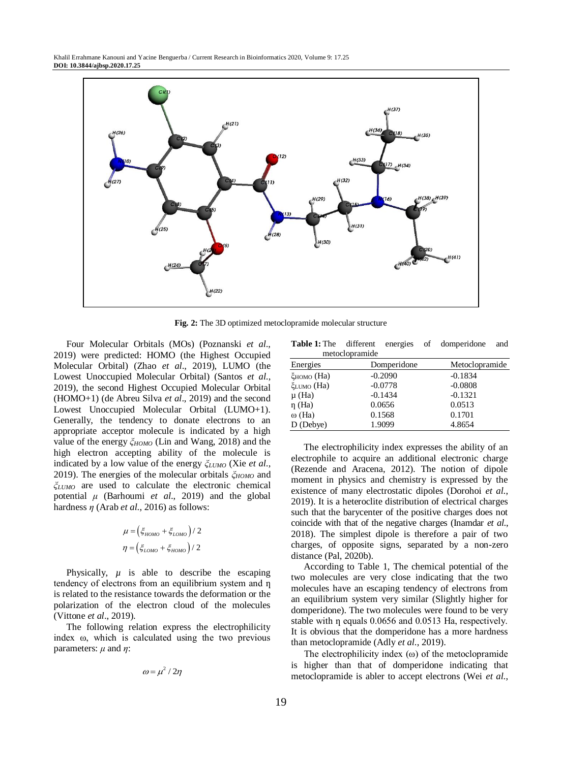

**Fig. 2:** The 3D optimized metoclopramide molecular structure

Four Molecular Orbitals (MOs) (Poznanski *et al*., 2019) were predicted: HOMO (the Highest Occupied Molecular Orbital) (Zhao *et al*., 2019), LUMO (the Lowest Unoccupied Molecular Orbital) (Santos *et al*., 2019), the second Highest Occupied Molecular Orbital (HOMO+1) (de Abreu Silva *et al*., 2019) and the second Lowest Unoccupied Molecular Orbital (LUMO+1). Generally, the tendency to donate electrons to an appropriate acceptor molecule is indicated by a high value of the energy *ξHOMO* (Lin and Wang, 2018) and the high electron accepting ability of the molecule is indicated by a low value of the energy *ξLUMO* (Xie *et al*., 2019). The energies of the molecular orbitals *ξHOMO* and *ξLUMO* are used to calculate the electronic chemical potential *μ* (Barhoumi *et al*., 2019) and the global hardness *ƞ* (Arab *et al*., 2016) as follows:

$$
\mu = \left(\xi_{HOMO} + \xi_{LOMO}\right) / 2
$$

$$
\eta = \left(\xi_{LOMO} + \xi_{HOMO}\right) / 2
$$

Physically,  $\mu$  is able to describe the escaping tendency of electrons from an equilibrium system and n is related to the resistance towards the deformation or the polarization of the electron cloud of the molecules (Vittone *et al*., 2019).

The following relation express the electrophilicity index ω, which is calculated using the two previous parameters:  $\mu$  and  $\eta$ :

$$
\omega = \mu^2 / 2\eta
$$

|                |  | Table 1: The different energies of domperidone and |  |
|----------------|--|----------------------------------------------------|--|
| metoclopramide |  |                                                    |  |

| metocropiamac          |             |                |  |  |
|------------------------|-------------|----------------|--|--|
| Energies               | Domperidone | Metoclopramide |  |  |
| ξномо (На)             | $-0.2090$   | $-0.1834$      |  |  |
| ξ <sub>LUMO</sub> (На) | $-0.0778$   | $-0.0808$      |  |  |
| µ (Ha)                 | $-0.1434$   | $-0.1321$      |  |  |
| η (Ha)                 | 0.0656      | 0.0513         |  |  |
| ω (Ha)                 | 0.1568      | 0.1701         |  |  |
| D (Debye)              | 1.9099      | 4.8654         |  |  |
|                        |             |                |  |  |

The electrophilicity index expresses the ability of an electrophile to acquire an additional electronic charge (Rezende and Aracena, 2012). The notion of dipole moment in physics and chemistry is expressed by the existence of many electrostatic dipoles (Dorohoi *et al*., 2019). It is a heteroclite distribution of electrical charges such that the barycenter of the positive charges does not coincide with that of the negative charges (Inamdar *et al*., 2018). The simplest dipole is therefore a pair of two charges, of opposite signs, separated by a non-zero distance (Pal, 2020b).

According to Table 1, The chemical potential of the two molecules are very close indicating that the two molecules have an escaping tendency of electrons from an equilibrium system very similar (Slightly higher for domperidone). The two molecules were found to be very stable with  $\eta$  equals 0.0656 and 0.0513 Ha, respectively. It is obvious that the domperidone has a more hardness than metoclopramide (Adly *et al*., 2019).

The electrophilicity index  $(\omega)$  of the metoclopramide is higher than that of domperidone indicating that metoclopramide is abler to accept electrons (Wei *et al*.,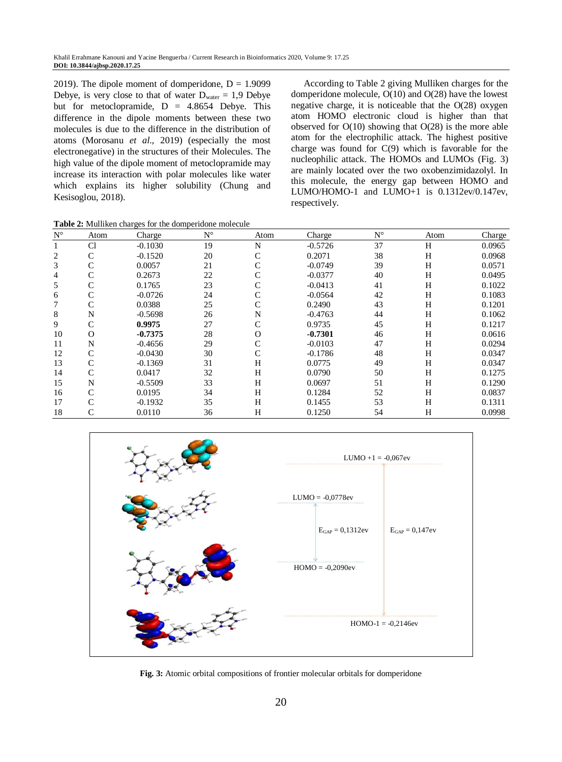2019). The dipole moment of domperidone,  $D = 1.9099$ Debye, is very close to that of water  $D_{\text{water}} = 1.9$  Debye but for metoclopramide,  $D = 4.8654$  Debye. This difference in the dipole moments between these two molecules is due to the difference in the distribution of atoms (Morosanu *et al*., 2019) (especially the most electronegative) in the structures of their Molecules. The high value of the dipole moment of metoclopramide may increase its interaction with polar molecules like water which explains its higher solubility (Chung and Kesisoglou, 2018).

**Table 2:** Mulliken charges for the domperidone molecule

According to Table 2 giving Mulliken charges for the domperidone molecule, O(10) and O(28) have the lowest negative charge, it is noticeable that the O(28) oxygen atom HOMO electronic cloud is higher than that observed for  $O(10)$  showing that  $O(28)$  is the more able atom for the electrophilic attack. The highest positive charge was found for C(9) which is favorable for the nucleophilic attack. The HOMOs and LUMOs (Fig. 3) are mainly located over the two oxobenzimidazolyl. In this molecule, the energy gap between HOMO and LUMO/HOMO-1 and LUMO+1 is 0.1312ev/0.147ev, respectively.

| $N^{\circ}$ | Atom         | Charge    | $N^{\circ}$ | Atom     | Charge    | $N^{\circ}$ | Atom | Charge |
|-------------|--------------|-----------|-------------|----------|-----------|-------------|------|--------|
|             | Cl           | $-0.1030$ | 19          | N        | $-0.5726$ | 37          | H    | 0.0965 |
| 2           | $\mathsf{C}$ | $-0.1520$ | 20          | C        | 0.2071    | 38          | H    | 0.0968 |
| 3           | C            | 0.0057    | 21          | C        | $-0.0749$ | 39          | H    | 0.0571 |
| 4           | C            | 0.2673    | 22          |          | $-0.0377$ | 40          | H    | 0.0495 |
| 5           | C            | 0.1765    | 23          |          | $-0.0413$ | 41          | H    | 0.1022 |
| 6           | C            | $-0.0726$ | 24          |          | $-0.0564$ | 42          | H    | 0.1083 |
|             | C            | 0.0388    | 25          | C        | 0.2490    | 43          | H    | 0.1201 |
| 8           | N            | $-0.5698$ | 26          | N        | $-0.4763$ | 44          | H    | 0.1062 |
| 9           | $\mathsf{C}$ | 0.9975    | 27          | C        | 0.9735    | 45          | H    | 0.1217 |
| 10          | $\Omega$     | $-0.7375$ | 28          | $\Omega$ | $-0.7301$ | 46          | H    | 0.0616 |
| 11          | N            | $-0.4656$ | 29          |          | $-0.0103$ | 47          | H    | 0.0294 |
| 12          | $\mathsf{C}$ | $-0.0430$ | 30          | C        | $-0.1786$ | 48          | H    | 0.0347 |
| 13          | $\mathsf{C}$ | $-0.1369$ | 31          | H        | 0.0775    | 49          | H    | 0.0347 |
| 14          | $\mathsf{C}$ | 0.0417    | 32          | H        | 0.0790    | 50          | H    | 0.1275 |
| 15          | N            | $-0.5509$ | 33          | H        | 0.0697    | 51          | H    | 0.1290 |
| 16          | $\mathsf{C}$ | 0.0195    | 34          | H        | 0.1284    | 52          | Η    | 0.0837 |
| 17          | C            | $-0.1932$ | 35          | H        | 0.1455    | 53          | Η    | 0.1311 |
| 18          | C            | 0.0110    | 36          | H        | 0.1250    | 54          | Η    | 0.0998 |



**Fig. 3:** Atomic orbital compositions of frontier molecular orbitals for domperidone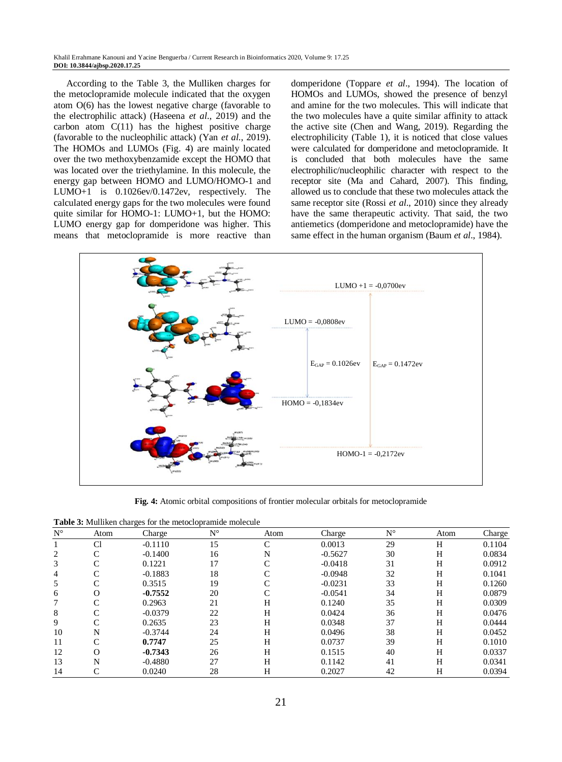According to the Table 3, the Mulliken charges for the metoclopramide molecule indicated that the oxygen atom O(6) has the lowest negative charge (favorable to the electrophilic attack) (Haseena *et al*., 2019) and the carbon atom  $C(11)$  has the highest positive charge (favorable to the nucleophilic attack) (Yan *et al*., 2019). The HOMOs and LUMOs (Fig. 4) are mainly located over the two methoxybenzamide except the HOMO that was located over the triethylamine. In this molecule, the energy gap between HOMO and LUMO/HOMO-1 and LUMO+1 is 0.1026ev/0.1472ev, respectively. The calculated energy gaps for the two molecules were found quite similar for HOMO-1: LUMO+1, but the HOMO: LUMO energy gap for domperidone was higher. This means that metoclopramide is more reactive than domperidone (Toppare *et al*., 1994). The location of HOMOs and LUMOs, showed the presence of benzyl and amine for the two molecules. This will indicate that the two molecules have a quite similar affinity to attack the active site (Chen and Wang, 2019). Regarding the electrophilicity (Table 1), it is noticed that close values were calculated for domperidone and metoclopramide. It is concluded that both molecules have the same electrophilic/nucleophilic character with respect to the receptor site (Ma and Cahard, 2007). This finding, allowed us to conclude that these two molecules attack the same receptor site (Rossi *et al.*, 2010) since they already have the same therapeutic activity. That said, the two antiemetics (domperidone and metoclopramide) have the same effect in the human organism (Baum *et al*., 1984).



**Fig. 4:** Atomic orbital compositions of frontier molecular orbitals for metoclopramide

**Table 3:** Mulliken charges for the metoclopramide molecule

| $N^{\circ}$ | Atom       | ັ<br>Charge | $N^{\circ}$ | Atom               | Charge    | $N^{\circ}$ | Atom | Charge |
|-------------|------------|-------------|-------------|--------------------|-----------|-------------|------|--------|
|             | C1         | $-0.1110$   | 15          | $\curvearrowright$ | 0.0013    | 29          | Н    | 0.1104 |
| 2           | C          | $-0.1400$   | 16          | N                  | $-0.5627$ | 30          | H    | 0.0834 |
| 3           |            | 0.1221      | 17          |                    | $-0.0418$ | 31          | Н    | 0.0912 |
| 4           |            | $-0.1883$   | 18          |                    | $-0.0948$ | 32          | H    | 0.1041 |
| 5           |            | 0.3515      | 19          |                    | $-0.0231$ | 33          | H    | 0.1260 |
| 6           |            | $-0.7552$   | 20          |                    | $-0.0541$ | 34          | H    | 0.0879 |
|             |            | 0.2963      | 21          | H                  | 0.1240    | 35          | H    | 0.0309 |
| 8           |            | $-0.0379$   | 22          | H                  | 0.0424    | 36          | H    | 0.0476 |
| 9           |            | 0.2635      | 23          | H                  | 0.0348    | 37          | Н    | 0.0444 |
| 10          | N          | $-0.3744$   | 24          | H                  | 0.0496    | 38          | H    | 0.0452 |
| 11          | $\sqrt{ }$ | 0.7747      | 25          | H                  | 0.0737    | 39          | H    | 0.1010 |
| 12          | O          | $-0.7343$   | 26          | H                  | 0.1515    | 40          | H    | 0.0337 |
| 13          | N          | $-0.4880$   | 27          | H                  | 0.1142    | 41          | H    | 0.0341 |
| 14          | C          | 0.0240      | 28          | H                  | 0.2027    | 42          | Н    | 0.0394 |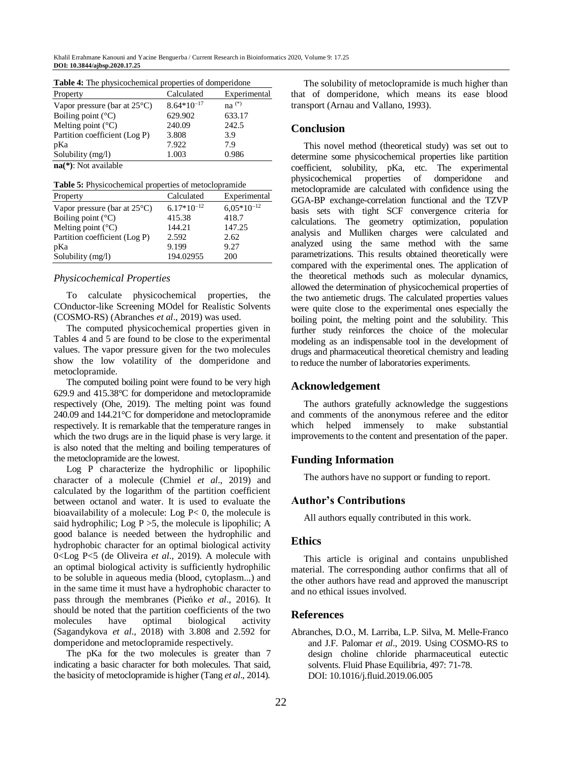| Property                               | Calculated      | Experimental |
|----------------------------------------|-----------------|--------------|
| Vapor pressure (bar at $25^{\circ}$ C) | $8.64*10^{-17}$ | $na^{(*)}$   |
| Boiling point $(^{\circ}C)$            | 629.902         | 633.17       |
| Melting point $(^{\circ}C)$            | 240.09          | 242.5        |
| Partition coefficient (Log P)          | 3.808           | 3.9          |
| pKa                                    | 7.922           | 7.9          |
| Solubility (mg/l)                      | 1.003           | 0.986        |

**Table 4:** The physicochemical properties of domperidone

**na(\*)**: Not available

**Table 5:** Physicochemical properties of metoclopramide

| Property                               | Calculated      | Experimental    |
|----------------------------------------|-----------------|-----------------|
| Vapor pressure (bar at $25^{\circ}$ C) | $6.17*10^{-12}$ | $6,05*10^{-12}$ |
| Boiling point $(^{\circ}C)$            | 415.38          | 418.7           |
| Melting point $(^{\circ}C)$            | 144.21          | 147.25          |
| Partition coefficient (Log P)          | 2.592           | 2.62            |
| pKa                                    | 9.199           | 9.27            |
| Solubility (mg/l)                      | 194.02955       | 200             |

#### *Physicochemical Properties*

To calculate physicochemical properties, the COnductor-like Screening MOdel for Realistic Solvents (COSMO-RS) (Abranches *et al*., 2019) was used.

The computed physicochemical properties given in Tables 4 and 5 are found to be close to the experimental values. The vapor pressure given for the two molecules show the low volatility of the domperidone and metoclopramide.

The computed boiling point were found to be very high 629.9 and 415.38°C for domperidone and metoclopramide respectively (Ohe, 2019). The melting point was found 240.09 and 144.21°C for domperidone and metoclopramide respectively. It is remarkable that the temperature ranges in which the two drugs are in the liquid phase is very large. it is also noted that the melting and boiling temperatures of the metoclopramide are the lowest.

Log P characterize the hydrophilic or lipophilic character of a molecule (Chmiel *et al*., 2019) and calculated by the logarithm of the partition coefficient between octanol and water. It is used to evaluate the bioavailability of a molecule: Log P< 0, the molecule is said hydrophilic; Log  $P > 5$ , the molecule is lipophilic; A good balance is needed between the hydrophilic and hydrophobic character for an optimal biological activity 0<Log P<5 (de Oliveira *et al*., 2019). A molecule with an optimal biological activity is sufficiently hydrophilic to be soluble in aqueous media (blood, cytoplasm...) and in the same time it must have a hydrophobic character to pass through the membranes (Pieńko *et al*., 2016). It should be noted that the partition coefficients of the two molecules have optimal biological activity (Sagandykova *et al*., 2018) with 3.808 and 2.592 for domperidone and metoclopramide respectively.

The pKa for the two molecules is greater than 7 indicating a basic character for both molecules. That said, the basicity of metoclopramide is higher (Tang *et al*., 2014).

The solubility of metoclopramide is much higher than that of domperidone, which means its ease blood transport (Arnau and Vallano, 1993).

#### **Conclusion**

This novel method (theoretical study) was set out to determine some physicochemical properties like partition coefficient, solubility, pKa, etc. The experimental physicochemical properties of domperidone and metoclopramide are calculated with confidence using the GGA-BP exchange-correlation functional and the TZVP basis sets with tight SCF convergence criteria for calculations. The geometry optimization, population analysis and Mulliken charges were calculated and analyzed using the same method with the same parametrizations. This results obtained theoretically were compared with the experimental ones. The application of the theoretical methods such as molecular dynamics, allowed the determination of physicochemical properties of the two antiemetic drugs. The calculated properties values were quite close to the experimental ones especially the boiling point, the melting point and the solubility. This further study reinforces the choice of the molecular modeling as an indispensable tool in the development of drugs and pharmaceutical theoretical chemistry and leading to reduce the number of laboratories experiments.

# **Acknowledgement**

The authors gratefully acknowledge the suggestions and comments of the anonymous referee and the editor which helped immensely to make substantial improvements to the content and presentation of the paper.

### **Funding Information**

The authors have no support or funding to report.

### **Author's Contributions**

All authors equally contributed in this work.

## **Ethics**

This article is original and contains unpublished material. The corresponding author confirms that all of the other authors have read and approved the manuscript and no ethical issues involved.

#### **References**

Abranches, D.O., M. Larriba, L.P. Silva, M. Melle-Franco and J.F. Palomar *et al*., 2019. Using COSMO-RS to design choline chloride pharmaceutical eutectic solvents. Fluid Phase Equilibria, 497: 71-78. [DOI: 10.1016/j.fluid.2019.06.005](https://doi.org/10.1016/j.fluid.2019.06.005)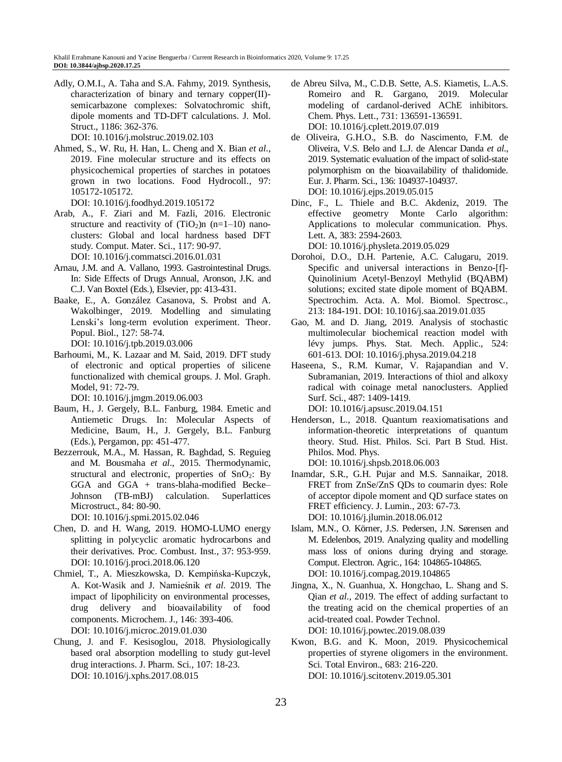Adly, O.M.I., A. Taha and S.A. Fahmy, 2019. Synthesis, characterization of binary and ternary copper(II) semicarbazone complexes: Solvatochromic shift, dipole moments and TD-DFT calculations. J. Mol. Struct., 1186: 362-376.

[DOI: 10.1016/j.molstruc.2019.02.103](https://doi.org/10.1016/j.molstruc.2019.02.103)

Ahmed, S., W. Ru, H. Han, L. Cheng and X. Bian *et al*., 2019. Fine molecular structure and its effects on physicochemical properties of starches in potatoes grown in two locations. Food Hydrocoll., 97: 105172-105172.

[DOI: 10.1016/j.foodhyd.2019.105172](https://doi.org/10.1016/j.foodhyd.2019.105172)

- Arab, A., F. Ziari and M. Fazli, 2016. Electronic structure and reactivity of  $(TiO<sub>2</sub>)n$  (n=1–10) nanoclusters: Global and local hardness based DFT study. Comput. Mater. Sci., 117: 90-97. [DOI: 10.1016/j.commatsci.2016.01.031](https://doi.org/10.1016/j.commatsci.2016.01.031)
- Arnau, J.M. and A. Vallano, 1993. Gastrointestinal Drugs. In: Side Effects of Drugs Annual, Aronson, J.K. and C.J. Van Boxtel (Eds.), Elsevier, pp: 413-431.
- Baake, E., A. González Casanova, S. Probst and A. Wakolbinger, 2019. Modelling and simulating Lenski's long-term evolution experiment. Theor. Popul. Biol., 127: 58-74.

[DOI: 10.1016/j.tpb.2019.03.006](https://doi.org/10.1016/j.tpb.2019.03.006)

Barhoumi, M., K. Lazaar and M. Said, 2019. DFT study of electronic and optical properties of silicene functionalized with chemical groups. J. Mol. Graph. Model, 91: 72-79.

[DOI: 10.1016/j.jmgm.2019.06.003](https://doi.org/10.1016/j.jmgm.2019.06.003)

- Baum, H., J. Gergely, B.L. Fanburg, 1984. Emetic and Antiemetic Drugs. In: Molecular Aspects of Medicine, Baum, H., J. Gergely, B.L. Fanburg (Eds.), Pergamon, pp: 451-477.
- Bezzerrouk, M.A., M. Hassan, R. Baghdad, S. Reguieg and M. Bousmaha *et al*., 2015. Thermodynamic, structural and electronic, properties of  $SnO<sub>2</sub>$ : By GGA and GGA + trans-blaha-modified Becke– Johnson (TB-mBJ) calculation. Superlattices Microstruct., 84: 80-90. [DOI: 10.1016/j.spmi.2015.02.046](https://doi.org/10.1016/j.spmi.2015.02.046)
- Chen, D. and H. Wang, 2019. HOMO-LUMO energy splitting in polycyclic aromatic hydrocarbons and their derivatives. Proc. Combust. Inst., 37: 953-959.
- [DOI: 10.1016/j.proci.2018.06.120](https://doi.org/10.1016/j.proci.2018.06.120) Chmiel, T., A. Mieszkowska, D. Kempińska-Kupczyk, A. Kot-Wasik and J. Namieśnik *et al*. 2019. The
- impact of lipophilicity on environmental processes, drug delivery and bioavailability of food components. Microchem. J., 146: 393-406. [DOI: 10.1016/j.microc.2019.01.030](https://doi.org/10.1016/j.microc.2019.01.030)
- Chung, J. and F. Kesisoglou, 2018. Physiologically based oral absorption modelling to study gut-level drug interactions. J. Pharm. Sci., 107: 18-23. [DOI: 10.1016/j.xphs.2017.08.015](https://doi.org/10.1016/j.xphs.2017.08.015)
- de Abreu Silva, M., C.D.B. Sette, A.S. Kiametis, L.A.S. Romeiro and R. Gargano, 2019. Molecular modeling of cardanol-derived AChE inhibitors. Chem. Phys. Lett., 731: 136591-136591. [DOI: 10.1016/j.cplett.2019.07.019](https://doi.org/10.1016/j.cplett.2019.07.019)
- de Oliveira, G.H.O., S.B. do Nascimento, F.M. de Oliveira, V.S. Belo and L.J. de Alencar Danda *et al*., 2019. Systematic evaluation of the impact of solid-state polymorphism on the bioavailability of thalidomide. Eur. J. Pharm. Sci., 136: 104937-104937. [DOI: 10.1016/j.ejps.2019.05.015](https://doi.org/10.1016/j.ejps.2019.05.015)
- Dinc, F., L. Thiele and B.C. Akdeniz, 2019. The effective geometry Monte Carlo algorithm: Applications to molecular communication. Phys. Lett. A, 383: 2594-2603.

[DOI: 10.1016/j.physleta.2019.05.029](https://doi.org/10.1016/j.physleta.2019.05.029)

- Dorohoi, D.O., D.H. Partenie, A.C. Calugaru, 2019. Specific and universal interactions in Benzo-[f]- Quinolinium Acetyl-Benzoyl Methylid (BQABM) solutions; excited state dipole moment of BQABM. Spectrochim. Acta. A. Mol. Biomol. Spectrosc., 213: 184-191. [DOI: 10.1016/j.saa.2019.01.035](https://doi.org/10.1016/j.saa.2019.01.035)
- Gao, M. and D. Jiang, 2019. Analysis of stochastic multimolecular biochemical reaction model with lévy jumps. Phys. Stat. Mech. Applic., 524: 601-613[. DOI: 10.1016/j.physa.2019.04.218](https://doi.org/10.1016/j.physa.2019.04.218)
- Haseena, S., R.M. Kumar, V. Rajapandian and V. Subramanian, 2019. Interactions of thiol and alkoxy radical with coinage metal nanoclusters. Applied Surf. Sci., 487: 1409-1419. [DOI: 10.1016/j.apsusc.2019.04.151](https://doi.org/10.1016/j.apsusc.2019.04.151)
- Henderson, L., 2018. Quantum reaxiomatisations and information-theoretic interpretations of quantum theory. Stud. Hist. Philos. Sci. Part B Stud. Hist. Philos. Mod. Phys.

[DOI: 10.1016/j.shpsb.2018.06.003](https://doi.org/10.1016/j.shpsb.2018.06.003)

- Inamdar, S.R., G.H. Pujar and M.S. Sannaikar, 2018. FRET from ZnSe/ZnS QDs to coumarin dyes: Role of acceptor dipole moment and QD surface states on FRET efficiency. J. Lumin., 203: 67-73. [DOI: 10.1016/j.jlumin.2018.06.012](https://doi.org/10.1016/j.jlumin.2018.06.012)
- Islam, M.N., O. Körner, J.S. Pedersen, J.N. Sørensen and M. Edelenbos, 2019. Analyzing quality and modelling mass loss of onions during drying and storage. Comput. Electron. Agric., 164: 104865-104865. [DOI: 10.1016/j.compag.2019.104865](https://doi.org/10.1016/j.compag.2019.104865)
- Jingna, X., N. Guanhua, X. Hongchao, L. Shang and S. Qian *et al*., 2019. The effect of adding surfactant to the treating acid on the chemical properties of an acid-treated coal. Powder Technol. [DOI: 10.1016/j.powtec.2019.08.039](https://doi.org/10.1016/j.powtec.2019.08.039)
- Kwon, B.G. and K. Moon, 2019. Physicochemical properties of styrene oligomers in the environment. Sci. Total Environ., 683: 216-220. [DOI: 10.1016/j.scitotenv.2019.05.301](https://doi.org/10.1016/j.scitotenv.2019.05.301)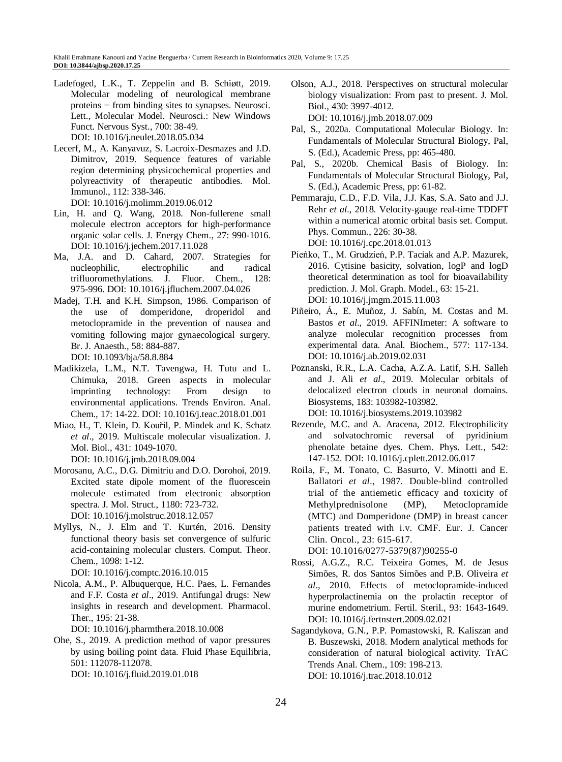- Ladefoged, L.K., T. Zeppelin and B. Schiøtt, 2019. Molecular modeling of neurological membrane proteins − from binding sites to synapses. Neurosci. Lett., Molecular Model. Neurosci.: New Windows Funct. Nervous Syst., 700: 38-49. [DOI: 10.1016/j.neulet.2018.05.034](https://doi.org/10.1016/j.neulet.2018.05.034)
- Lecerf, M., A. Kanyavuz, S. Lacroix-Desmazes and J.D. Dimitrov, 2019. Sequence features of variable region determining physicochemical properties and polyreactivity of therapeutic antibodies. Mol. Immunol., 112: 338-346. [DOI: 10.1016/j.molimm.2019.06.012](https://doi.org/10.1016/j.molimm.2019.06.012)
- Lin, H. and Q. Wang, 2018. Non-fullerene small molecule electron acceptors for high-performance organic solar cells. J. Energy Chem., 27: 990-1016. [DOI: 10.1016/j.jechem.2017.11.028](https://doi.org/10.1016/j.jechem.2017.11.028)
- Ma, J.A. and D. Cahard, 2007. Strategies for nucleophilic, electrophilic and radical trifluoromethylations. J. Fluor. Chem., 128: 975-996. [DOI: 10.1016/j.jfluchem.2007.04.026](https://doi.org/10.1016/j.jfluchem.2007.04.026)
- Madej, T.H. and K.H. Simpson, 1986. Comparison of the use of domperidone, droperidol and metoclopramide in the prevention of nausea and vomiting following major gynaecological surgery. Br. J. Anaesth., 58: 884-887. [DOI: 10.1093/bja/58.8.884](https://doi.org/10.1093/bja/58.8.884)
- Madikizela, L.M., N.T. Tavengwa, H. Tutu and L. Chimuka, 2018. Green aspects in molecular imprinting technology: From design to environmental applications. Trends Environ. Anal. Chem., 17: 14-22. [DOI: 10.1016/j.teac.2018.01.001](https://doi.org/10.1016/j.teac.2018.01.001)
- Miao, H., T. Klein, D. Kouřil, P. Mindek and K. Schatz *et al*., 2019. Multiscale molecular visualization. J. Mol. Biol., 431: 1049-1070. [DOI: 10.1016/j.jmb.2018.09.004](https://doi.org/10.1016/j.jmb.2018.09.004)
- Morosanu, A.C., D.G. Dimitriu and D.O. Dorohoi, 2019. Excited state dipole moment of the fluorescein molecule estimated from electronic absorption spectra. J. Mol. Struct., 1180: 723-732. [DOI: 10.1016/j.molstruc.2018.12.057](https://doi.org/10.1016/j.molstruc.2018.12.057)
- Myllys, N., J. Elm and T. Kurtén, 2016. Density functional theory basis set convergence of sulfuric acid-containing molecular clusters. Comput. Theor. Chem., 1098: 1-12.

[DOI: 10.1016/j.comptc.2016.10.015](https://doi.org/10.1016/j.comptc.2016.10.015)

Nicola, A.M., P. Albuquerque, H.C. Paes, L. Fernandes and F.F. Costa *et al*., 2019. Antifungal drugs: New insights in research and development. Pharmacol. Ther., 195: 21-38.

[DOI: 10.1016/j.pharmthera.2018.10.008](https://doi.org/10.1016/j.pharmthera.2018.10.008)

Ohe, S., 2019. A prediction method of vapor pressures by using boiling point data. Fluid Phase Equilibria, 501: 112078-112078. [DOI: 10.1016/j.fluid.2019.01.018](https://doi.org/10.1016/j.fluid.2019.01.018)

- Olson, A.J., 2018. Perspectives on structural molecular biology visualization: From past to present. J. Mol. Biol., 430: 3997-4012.
	- [DOI: 10.1016/j.jmb.2018.07.009](https://doi.org/10.1016/j.jmb.2018.07.009)
- Pal, S., 2020a. Computational Molecular Biology. In: Fundamentals of Molecular Structural Biology, Pal, S. (Ed.), Academic Press, pp: 465-480.
- Pal, S., 2020b. Chemical Basis of Biology. In: Fundamentals of Molecular Structural Biology, Pal, S. (Ed.), Academic Press, pp: 61-82.
- Pemmaraju, C.D., F.D. Vila, J.J. Kas, S.A. Sato and J.J. Rehr *et al*., 2018. Velocity-gauge real-time TDDFT within a numerical atomic orbital basis set. Comput. Phys. Commun., 226: 30-38. [DOI: 10.1016/j.cpc.2018.01.013](https://doi.org/10.1016/j.cpc.2018.01.013)
- Pieńko, T., M. Grudzień, P.P. Taciak and A.P. Mazurek, 2016. Cytisine basicity, solvation, logP and logD theoretical determination as tool for bioavailability prediction. J. Mol. Graph. Model., 63: 15-21. [DOI: 10.1016/j.jmgm.2015.11.003](https://doi.org/10.1016/j.jmgm.2015.11.003)
- Piñeiro, Á., E. Muñoz, J. Sabín, M. Costas and M. Bastos *et al*., 2019. AFFINImeter: A software to analyze molecular recognition processes from experimental data. Anal. Biochem., 577: 117-134. [DOI: 10.1016/j.ab.2019.02.031](https://doi.org/10.1016/j.ab.2019.02.031)
- Poznanski, R.R., L.A. Cacha, A.Z.A. Latif, S.H. Salleh and J. Ali *et al*., 2019. Molecular orbitals of delocalized electron clouds in neuronal domains. Biosystems, 183: 103982-103982. [DOI: 10.1016/j.biosystems.2019.103982](https://doi.org/10.1016/j.biosystems.2019.103982)
- Rezende, M.C. and A. Aracena, 2012. Electrophilicity and solvatochromic reversal of pyridinium phenolate betaine dyes. Chem. Phys. Lett., 542: 147-152[. DOI: 10.1016/j.cplett.2012.06.017](https://doi.org/10.1016/j.cplett.2012.06.017)
- Roila, F., M. Tonato, C. Basurto, V. Minotti and E. Ballatori *et al*., 1987. Double-blind controlled trial of the antiemetic efficacy and toxicity of Methylprednisolone (MP), Metoclopramide (MTC) and Domperidone (DMP) in breast cancer patients treated with i.v. CMF. Eur. J. Cancer Clin. Oncol., 23: 615-617.

[DOI: 10.1016/0277-5379\(87\)90255-0](https://doi.org/10.1016/0277-5379(87)90255-0)

- Rossi, A.G.Z., R.C. Teixeira Gomes, M. de Jesus Simões, R. dos Santos Simões and P.B. Oliveira *et al*., 2010. Effects of metoclopramide-induced hyperprolactinemia on the prolactin receptor of murine endometrium. Fertil. Steril., 93: 1643-1649. [DOI: 10.1016/j.fertnstert.2009.02.021](https://doi.org/10.1016/j.fertnstert.2009.02.021)
- Sagandykova, G.N., P.P. Pomastowski, R. Kaliszan and B. Buszewski, 2018. Modern analytical methods for consideration of natural biological activity. TrAC Trends Anal. Chem., 109: 198-213. [DOI: 10.1016/j.trac.2018.10.012](https://doi.org/10.1016/j.trac.2018.10.012)